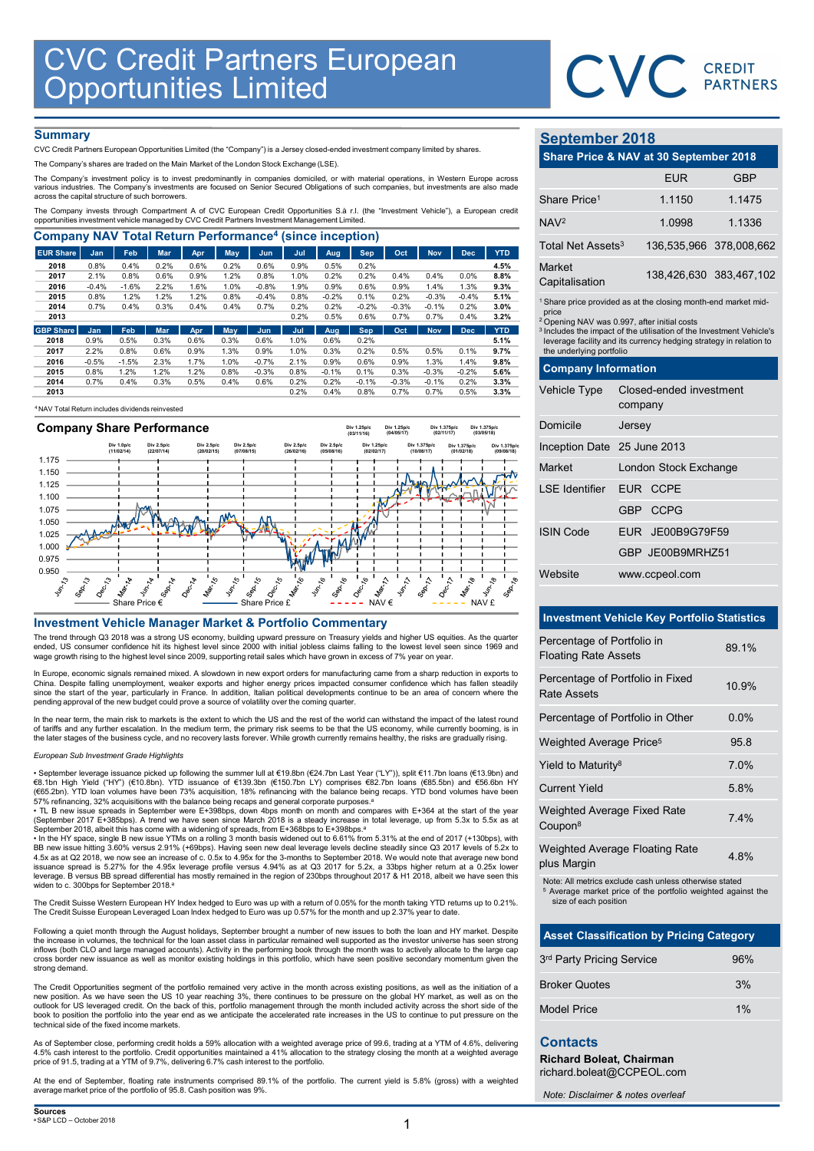

## **Summary**

|                                                                                                                                                                                                                                                                                      |                                                               |                 |              |              |              |                 |              |                 |                    |                 |                    |                 |                    |                                                                                                                                                    | CVC CREDIT              |            |
|--------------------------------------------------------------------------------------------------------------------------------------------------------------------------------------------------------------------------------------------------------------------------------------|---------------------------------------------------------------|-----------------|--------------|--------------|--------------|-----------------|--------------|-----------------|--------------------|-----------------|--------------------|-----------------|--------------------|----------------------------------------------------------------------------------------------------------------------------------------------------|-------------------------|------------|
|                                                                                                                                                                                                                                                                                      | <b>CVC Credit Partners European<br/>Opportunities Limited</b> |                 |              |              |              |                 |              |                 |                    |                 |                    |                 |                    |                                                                                                                                                    |                         |            |
|                                                                                                                                                                                                                                                                                      |                                                               |                 |              |              |              |                 |              |                 |                    |                 |                    |                 |                    |                                                                                                                                                    |                         |            |
| <b>Summary</b>                                                                                                                                                                                                                                                                       |                                                               |                 |              |              |              |                 |              |                 |                    |                 |                    |                 |                    | <b>September 2018</b>                                                                                                                              |                         |            |
| CVC Credit Partners European Opportunities Limited (the "Company") is a Jersey closed-ended investment company limited by shares.<br>The Company's shares are traded on the Main Market of the London Stock Exchange (LSE).                                                          |                                                               |                 |              |              |              |                 |              |                 |                    |                 |                    |                 |                    | Share Price & NAV at 30 September 2018                                                                                                             |                         |            |
| The Company's investment policy is to invest predominantly in companies domiciled, or with material operations, in Western Europe across<br>various industries. The Company's investments are focused on Senior Secured Obligations of such companies, but investments are also made |                                                               |                 |              |              |              |                 |              |                 |                    |                 |                    |                 |                    |                                                                                                                                                    | <b>EUR</b>              | <b>GBP</b> |
| across the capital structure of such borrowers.                                                                                                                                                                                                                                      |                                                               |                 |              |              |              |                 |              |                 |                    |                 |                    |                 |                    | Share Price <sup>1</sup>                                                                                                                           | 1.1150                  | 1.1475     |
| The Company invests through Compartment A of CVC European Credit Opportunities S.à r.l. (the "Investment Vehicle"), a European credit<br>opportunities investment vehicle managed by CVC Credit Partners Investment Management Limited.                                              |                                                               |                 |              |              |              |                 |              |                 |                    |                 |                    |                 |                    | NAV <sup>2</sup>                                                                                                                                   | 1.0998                  | 1.1336     |
| <b>Company NAV Total Return Performance<sup>4</sup> (since inception)</b>                                                                                                                                                                                                            |                                                               |                 |              |              |              |                 |              |                 |                    |                 |                    |                 |                    |                                                                                                                                                    |                         |            |
|                                                                                                                                                                                                                                                                                      | Jan                                                           | Feb             | <b>Mar</b>   | Apr          | May          | <b>Jun</b>      | Jul          | Aug             | <b>Sep</b>         | Oct             | <b>Nov</b>         | <b>Dec</b>      | <b>YTD</b>         | Total Net Assets <sup>3</sup>                                                                                                                      | 136,535,966 378,008,66  |            |
| <b>EUR Share</b>                                                                                                                                                                                                                                                                     |                                                               |                 |              | 0.6%         | 0.2%         | 0.6%            | 0.9%         | 0.5%            | 0.2%               |                 |                    |                 | 4.5%               | Market                                                                                                                                             | 138,426,630 383,467,10  |            |
| 2018                                                                                                                                                                                                                                                                                 | 0.8%                                                          | 0.4%            | 0.2%         |              |              |                 |              |                 | 0.2%               | 0.4%            | 0.4%               | 0.0%            | 8.8%               | Capitalisation                                                                                                                                     |                         |            |
| 2017<br>2016                                                                                                                                                                                                                                                                         | 2.1%<br>$-0.4%$                                               | 0.8%<br>$-1.6%$ | 0.6%<br>2.2% | 0.9%<br>1.6% | 1.2%<br>1.0% | 0.8%<br>$-0.8%$ | 1.0%<br>1.9% | 0.2%<br>0.9%    | 0.6%               | 0.9%            | 1.4%               | 1.3%            |                    |                                                                                                                                                    |                         |            |
| 2015                                                                                                                                                                                                                                                                                 | 0.8%                                                          | 1.2%            | 1.2%         | 1.2%         | 0.8%         | $-0.4%$         | 0.8%         | $-0.2%$         | 0.1%               | 0.2%            | $-0.3%$            | $-0.4%$         | 9.3%<br>5.1%       |                                                                                                                                                    |                         |            |
| 2014                                                                                                                                                                                                                                                                                 | 0.7%                                                          | 0.4%            | 0.3%         | 0.4%         | 0.4%         | 0.7%            | 0.2%         | 0.2%            | $-0.2%$            | $-0.3%$         | $-0.1%$            | 0.2%            | 3.0%               | <sup>1</sup> Share price provided as at the closing month-end market mid<br>price                                                                  |                         |            |
| 2013                                                                                                                                                                                                                                                                                 |                                                               |                 |              |              |              |                 | 0.2%         | 0.5%            | 0.6%               | 0.7%            | 0.7%               | 0.4%            | 3.2%               | <sup>2</sup> Opening NAV was 0.997, after initial costs                                                                                            |                         |            |
| <b>GBP Share</b><br>2018                                                                                                                                                                                                                                                             | Jan<br>0.9%                                                   | Feb<br>0.5%     | Mar<br>0.3%  | Apr<br>0.6%  | May<br>0.3%  | Jun<br>0.6%     | Jul<br>1.0%  | Aug<br>0.6%     | <b>Sep</b><br>0.2% | Oct             | <b>Nov</b>         | <b>Dec</b>      | <b>YTD</b><br>5.1% | <sup>3</sup> Includes the impact of the utilisation of the Investment Vehicle<br>leverage facility and its currency hedging strategy in relation t |                         |            |
| 2017                                                                                                                                                                                                                                                                                 | 2.2%                                                          | 0.8%            | 0.6%         | 0.9%         | 1.3%         | 0.9%            | 1.0%         | 0.3%            | 0.2%               | 0.5%            | 0.5%               | 0.1%            | 9.7%               | the underlying portfolio                                                                                                                           |                         |            |
| 2016                                                                                                                                                                                                                                                                                 | $-0.5%$                                                       | $-1.5%$         | 2.3%         | 1.7%         | 1.0%         | $-0.7%$         | 2.1%         | 0.9%            | 0.6%               | 0.9%            | 1.3%               | 1.4%            | 9.8%               | <b>Company Information</b>                                                                                                                         |                         |            |
| 2015<br>2014                                                                                                                                                                                                                                                                         | 0.8%<br>0.7%                                                  | 1.2%<br>0.4%    | 1.2%<br>0.3% | 1.2%<br>0.5% | 0.8%<br>0.4% | $-0.3%$<br>0.6% | 0.8%<br>0.2% | $-0.1%$<br>0.2% | 0.1%<br>$-0.1%$    | 0.3%<br>$-0.3%$ | $-0.3%$<br>$-0.1%$ | $-0.2%$<br>0.2% | 5.6%<br>3.3%       | <b>Vehicle Type</b>                                                                                                                                | Closed-ended investment |            |

<sup>4</sup>NAV Total Return includes dividends reinvested



The trend through Q3 2018 was a strong US economy, building upward pressure on Treasury yields and higher US equities. As the quarter ended, US consumer confidence hit its highest level since 2000 with initial jobless claims falling to the lowest level seen since 1969 and<br>wage growth rising to the highest level since 2009, supporting retail sales which h

In Europe, economic signals remained mixed. A slowdown in new export orders for manufacturing came from a sharp reduction in exports to China. Despite falling unemployment, weaker exports and higher energy prices impacted consumer confidence which has fallen steadily since the start of the year, particularly in France. In addition, Italian political developments continue to be an area of concern where the<br>pending approval of the new budget could prove a source of volatility over the co

In the near term, the main risk to markets is the extent to which the US and the rest of the world can withstand the impact of the latest round of tariffs and any further escalation. In the medium term, the primary risk seems to be that the US economy, while currently booming, is in<br>the later stages of the business cycle, and no recovery lasts forever. While growt

### European Sub Investment Grade Highlights

• September leverage issuance picked up following the summer Iull at €19.8bn (€24.7bn Last Year ("LY")), split €11.7bn Ioans (€13.9bn) and<br>€8.1bn High Yield ("HY") (€10.8bn). YTD issuance of €139.3bn (€150.7bn L (€65.2bn). YTD loan volumes have been 73% acquisition, 18% refinancing with the balance being recaps. YTD bond volumes have been<br>57% refinancing, 32% acquisitions with the balance being recaps and general corporate purpos

• TL B new issue spreads in September were E+398bps, down 4bps month on month and compares with E+364 at the start of the year<br>(September 2017 E+385bps). A trend we have seen since March 2018 is a steady increase in total

• In the HY space, single B new issue YTMs on a rolling 3 month basis widened out to 6.61% from 5.31% at the end of 2017 (+130bps), with<br>BB new issue hitting 3.60% versus 2.91% (+69bps). Having seen new deal leverage level issuance spread is 5.27% for the 4.95x leverage profile versus 4.94% as at Q3 2017 for 5.2x, a 33bps higher return at a 0.25x lower leverage. B versus BB spread differential has mostly remained in the region of 230bps throughout 2017 & H1 2018, albeit we have seen this widen to c. 300bps for September 2018.<sup>a</sup>

The Credit Suisse Western European HY Index hedged to Euro was up with a return of 0.05% for the month taking YTD returns up to 0.21%. The Credit Suisse European Leveraged Loan Index hedged to Euro was up 0.57% for the month and up 2.37% year to date.

.<br>Following a quiet month through the August holidays, September brought a number of new issues to both the loan and HY market. Despite<br>the increase in volumes, the technical for the loan asset class in particular remained inflows (both CLO and large managed accounts). Activity in the performing book through the month was to actively allocate to the large cap cross border new issuance as well as monitor existing holdings in this portfolio, which have seen positive secondary momentum given the strong demand.

The Credit Opportunities segment of the portfolio remained very active in the month across existing positions, as well as the initiation of a new position. As we have seen the US 10 year reaching 3%, there continues to be pressure on the global HY market, as well as on the<br>outlook for US leveraged credit. On the back of this, portfolio management through the mon book to position the portfolio into the year end as we anticipate the accelerated rate increases in the US to continue to put pressure on the technical side of the fixed income markets.

As of September close, performing credit holds a 59% allocation with a weighted average price of 99.6, trading at a YTM of 4.6%, delivering 4.5% cash interest to the portfolio. Credit opportunities maintained a 41% allocation to the strategy closing the month at a weighted average<br>price of 91.5, trading at a YTM of 9.7%, delivering 6.7% cash interest to the po

At the end of September, floating rate instruments comprised 89.1% of the portfolio. The current yield is 5.8% (gross) with a weighted average market price of the portfolio of 95.8. Cash position was 9%.

# September 2018

|                                                           | CVC CREDIT                                                                                                                                                                                                                                                                                    |                         |
|-----------------------------------------------------------|-----------------------------------------------------------------------------------------------------------------------------------------------------------------------------------------------------------------------------------------------------------------------------------------------|-------------------------|
|                                                           |                                                                                                                                                                                                                                                                                               |                         |
|                                                           |                                                                                                                                                                                                                                                                                               |                         |
| <b>September 2018</b>                                     |                                                                                                                                                                                                                                                                                               |                         |
|                                                           | Share Price & NAV at 30 September 2018                                                                                                                                                                                                                                                        |                         |
| Share Price <sup>1</sup>                                  | <b>EUR</b><br>1.1150                                                                                                                                                                                                                                                                          | <b>GBP</b><br>1.1475    |
| NAV <sup>2</sup>                                          | 1.0998                                                                                                                                                                                                                                                                                        | 1.1336                  |
| Total Net Assets <sup>3</sup>                             |                                                                                                                                                                                                                                                                                               | 136,535,966 378,008,662 |
| Market                                                    |                                                                                                                                                                                                                                                                                               |                         |
| Capitalisation                                            |                                                                                                                                                                                                                                                                                               | 138,426,630 383,467,102 |
| price<br>the underlying portfolio                         | <sup>1</sup> Share price provided as at the closing month-end market mid-<br><sup>2</sup> Opening NAV was 0.997, after initial costs<br><sup>3</sup> Includes the impact of the utilisation of the Investment Vehicle's<br>leverage facility and its currency hedging strategy in relation to |                         |
| <b>Company Information</b>                                |                                                                                                                                                                                                                                                                                               |                         |
| Vehicle Type                                              | Closed-ended investment<br>company                                                                                                                                                                                                                                                            |                         |
| Domicile                                                  | Jersey                                                                                                                                                                                                                                                                                        |                         |
| Inception Date 25 June 2013                               |                                                                                                                                                                                                                                                                                               |                         |
| Market                                                    | London Stock Exchange                                                                                                                                                                                                                                                                         |                         |
| <b>LSE Identifier</b>                                     | EUR CCPE                                                                                                                                                                                                                                                                                      |                         |
| <b>ISIN Code</b>                                          | GBP CCPG<br>EUR JE00B9G79F59                                                                                                                                                                                                                                                                  |                         |
|                                                           | GBP JE00B9MRHZ51                                                                                                                                                                                                                                                                              |                         |
| Website                                                   | www.ccpeol.com                                                                                                                                                                                                                                                                                |                         |
|                                                           |                                                                                                                                                                                                                                                                                               |                         |
|                                                           | <b>Investment Vehicle Key Portfolio Statistics</b>                                                                                                                                                                                                                                            |                         |
| Percentage of Portfolio in<br><b>Floating Rate Assets</b> |                                                                                                                                                                                                                                                                                               | 89.1%                   |
| <b>Rate Assets</b>                                        | Percentage of Portfolio in Fixed                                                                                                                                                                                                                                                              | 10.9%                   |
|                                                           | Percentage of Portfolio in Other                                                                                                                                                                                                                                                              | 0.0%                    |
| Weighted Average Price <sup>5</sup>                       |                                                                                                                                                                                                                                                                                               | 95.8                    |
| Yield to Maturity <sup>8</sup>                            |                                                                                                                                                                                                                                                                                               | 7.0%                    |
| <b>Current Yield</b>                                      |                                                                                                                                                                                                                                                                                               | 5.8%                    |
|                                                           |                                                                                                                                                                                                                                                                                               |                         |

## Investment Vehicle Key Portfolio Statistics

| Inception Date 25 June 2013                                              |                                                                                                                                   |       |
|--------------------------------------------------------------------------|-----------------------------------------------------------------------------------------------------------------------------------|-------|
| <b>Market</b>                                                            | London Stock Exchange                                                                                                             |       |
| <b>LSE</b> Identifier                                                    | EUR CCPE                                                                                                                          |       |
|                                                                          | GBP CCPG                                                                                                                          |       |
| <b>ISIN Code</b>                                                         | EUR JE00B9G79F59                                                                                                                  |       |
|                                                                          | GBP JE00B9MRHZ51                                                                                                                  |       |
| Website                                                                  | www.ccpeol.com                                                                                                                    |       |
|                                                                          |                                                                                                                                   |       |
|                                                                          | <b>Investment Vehicle Key Portfolio Statistics</b>                                                                                |       |
| Percentage of Portfolio in<br><b>Floating Rate Assets</b>                |                                                                                                                                   | 89.1% |
| Percentage of Portfolio in Fixed<br><b>Rate Assets</b>                   |                                                                                                                                   | 10.9% |
| Percentage of Portfolio in Other                                         |                                                                                                                                   | 0.0%  |
| Weighted Average Price <sup>5</sup>                                      |                                                                                                                                   | 95.8  |
| Yield to Maturity <sup>8</sup>                                           |                                                                                                                                   | 7.0%  |
| <b>Current Yield</b>                                                     |                                                                                                                                   | 5.8%  |
| Weighted Average Fixed Rate<br>Coupon <sup>8</sup>                       |                                                                                                                                   | 7.4%  |
| plus Margin                                                              | Weighted Average Floating Rate                                                                                                    | 4.8%  |
| size of each position                                                    | Note: All metrics exclude cash unless otherwise stated<br><sup>5</sup> Average market price of the portfolio weighted against the |       |
|                                                                          | <b>Asset Classification by Pricing Category</b>                                                                                   |       |
| 3 <sup>rd</sup> Party Pricing Service                                    |                                                                                                                                   | 96%   |
| <b>Broker Quotes</b>                                                     |                                                                                                                                   | 3%    |
| <b>Model Price</b>                                                       |                                                                                                                                   | 1%    |
|                                                                          |                                                                                                                                   |       |
| <b>Contacts</b><br>Richard Boleat, Chairman<br>richard.boleat@CCPEOL.com |                                                                                                                                   |       |
| Note: Disclaimer & notes overleaf                                        |                                                                                                                                   |       |

| <b>Asset Classification by Pricing Category</b> |     |
|-------------------------------------------------|-----|
| 3rd Party Pricing Service                       | 96% |
| <b>Broker Quotes</b>                            | 3%  |
| Model Price                                     | 1%  |

# **Contacts**

Note: Disclaimer & notes overleaf